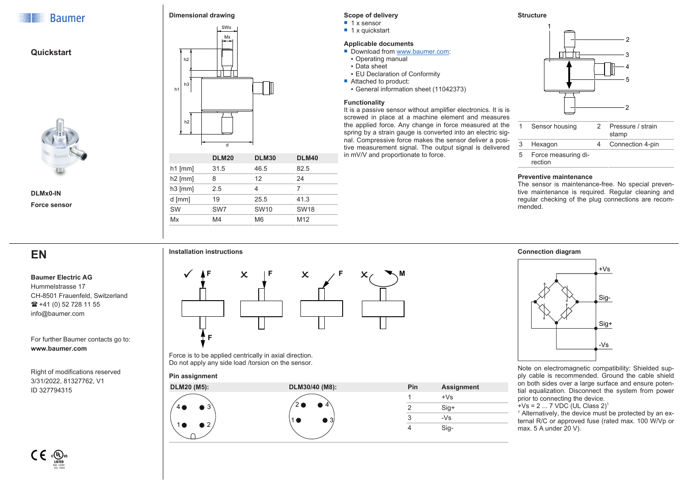

**Quickstart**

# **Dimensional drawing**



| $h1$ [mm] | 31.5            | 46.5           | 82.5            |
|-----------|-----------------|----------------|-----------------|
| $h2$ [mm] |                 | 12             | 24              |
| $h3$ [mm] | 2.5             |                |                 |
| $d$ [mm]  | 19              | 25.5           | 41.3            |
| <b>SW</b> | SW <sub>7</sub> | <b>SW10</b>    | <b>SW18</b>     |
| Mx        | M4              | M <sub>6</sub> | M <sub>12</sub> |

# **Scope of delivery**

- $\blacksquare$  1 x sensor
- $\blacksquare$  1 x quickstart

### **Applicable documents**

- Download from [www.baumer.com](https://baumer.com):
- Operating manual
- Data sheet
- **EU Declaration of Conformity**
- Attached to product:
- General information sheet (11042373)

### **Functionality**

It is a passive sensor without amplifier electronics. It is is screwed in place at a machine element and measures the applied force. Any change in force measured at the spring by a strain gauge is converted into an electric signal. Compressive force makes the sensor deliver a positive measurement signal. The output signal is delivered in mV/V and proportionate to force.





|   | Sensor housing                 | 2 | Pressure / strain<br>stamp |
|---|--------------------------------|---|----------------------------|
| 3 | Hexagon                        |   | Connection 4-pin           |
| 5 | Force measuring di-<br>rection |   |                            |

### **Preventive maintenance**

**Connection diagram**

The sensor is maintenance-free. No special preventive maintenance is required. Regular cleaning and regular checking of the plug connections are recommended.

# **EN**

**DLMx0-IN Force sensor**

#### **Baumer Electric AG** Hummelstrasse 17

CH-8501 Frauenfeld, Switzerland  $\mathbf{R}$  +41 (0) 52 728 11 55 info@baumer.com

For further Baumer contacts go to: **www.baumer.com**

Right of modifications reserved 3/31/2022, 81327762, V1 ID 327794315



Force is to be applied centrically in axial direction. Do not apply any side load /torsion on the sensor.

# **Pin assignment**





Note on electromagnetic compatibility: Shielded supply cable is recommended. Ground the cable shield on both sides over a large surface and ensure potential equalization. Disconnect the system from power prior to connecting the device.

 $+$ Vs = 2 ... 7 VDC (UL Class 2)<sup>1</sup>

<sup>1</sup> Alternatively, the device must be protected by an external R/C or approved fuse (rated max. 100 W/Vp or max. 5 A under 20 V).